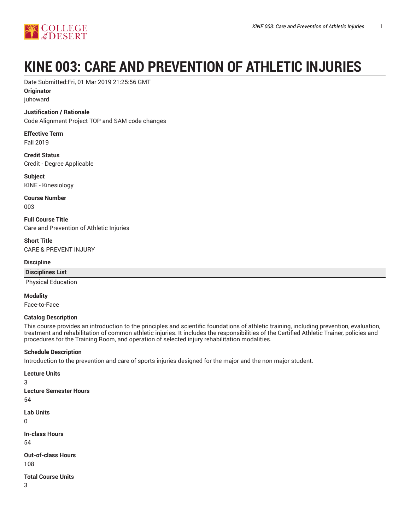

# **KINE 003: CARE AND PREVENTION OF ATHLETIC INJURIES**

Date Submitted:Fri, 01 Mar 2019 21:25:56 GMT

**Originator**

juhoward

# **Justification / Rationale**

Code Alignment Project TOP and SAM code changes

**Effective Term** Fall 2019

**Credit Status** Credit - Degree Applicable

**Subject** KINE - Kinesiology

**Course Number** 003

**Full Course Title** Care and Prevention of Athletic Injuries

**Short Title** CARE & PREVENT INJURY

**Discipline**

**Disciplines List**

Physical Education

**Modality** Face-to-Face

# **Catalog Description**

This course provides an introduction to the principles and scientific foundations of athletic training, including prevention, evaluation, treatment and rehabilitation of common athletic injuries. It includes the responsibilities of the Certified Athletic Trainer, policies and procedures for the Training Room, and operation of selected injury rehabilitation modalities.

# **Schedule Description**

Introduction to the prevention and care of sports injuries designed for the major and the non major student.

**Lecture Units** 3 **Lecture Semester Hours** 54 **Lab Units** 0 **In-class Hours** 54 **Out-of-class Hours** 108 **Total Course Units**

3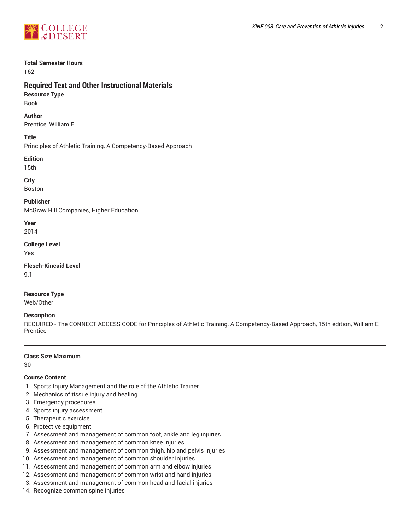



### **Total Semester Hours**

162

# **Required Text and Other Instructional Materials**

**Resource Type** Book

**Author**

Prentice, William E.

## **Title**

Principles of Athletic Training, A Competency-Based Approach

## **Edition**

15th

**City**

Boston

**Publisher** McGraw Hill Companies, Higher Education

**Year** 2014

**College Level**

Yes

**Flesch-Kincaid Level**

9.1

# **Resource Type**

Web/Other

# **Description**

REQUIRED - The CONNECT ACCESS CODE for Principles of Athletic Training, A Competency-Based Approach, 15th edition, William E Prentice

#### **Class Size Maximum**

30

# **Course Content**

- 1. Sports Injury Management and the role of the Athletic Trainer
- 2. Mechanics of tissue injury and healing
- 3. Emergency procedures
- 4. Sports injury assessment
- 5. Therapeutic exercise
- 6. Protective equipment
- 7. Assessment and management of common foot, ankle and leg injuries
- 8. Assessment and management of common knee injuries
- 9. Assessment and management of common thigh, hip and pelvis injuries
- 10. Assessment and management of common shoulder injuries
- 11. Assessment and management of common arm and elbow injuries
- 12. Assessment and management of common wrist and hand injuries
- 13. Assessment and management of common head and facial injuries
- 14. Recognize common spine injuries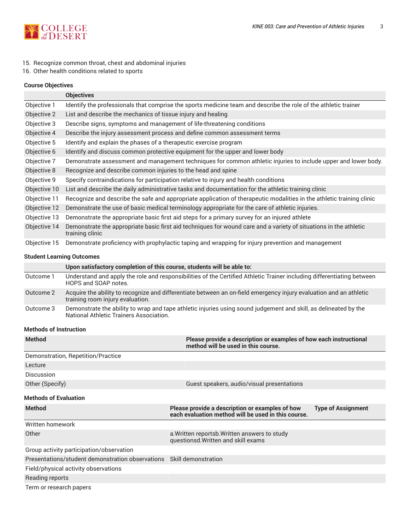

# 15. Recognize common throat, chest and abdominal injuries

16. Other health conditions related to sports

# **Course Objectives**

|              | <b>Objectives</b>                                                                                                                    |  |
|--------------|--------------------------------------------------------------------------------------------------------------------------------------|--|
| Objective 1  | Identify the professionals that comprise the sports medicine team and describe the role of the athletic trainer                      |  |
| Objective 2  | List and describe the mechanics of tissue injury and healing                                                                         |  |
| Objective 3  | Describe signs, symptoms and management of life-threatening conditions                                                               |  |
| Objective 4  | Describe the injury assessment process and define common assessment terms                                                            |  |
| Objective 5  | Identify and explain the phases of a therapeutic exercise program                                                                    |  |
| Objective 6  | Identify and discuss common protective equipment for the upper and lower body                                                        |  |
| Objective 7  | Demonstrate assessment and management techniques for common athletic injuries to include upper and lower body.                       |  |
| Objective 8  | Recognize and describe common injuries to the head and spine                                                                         |  |
| Objective 9  | Specify contraindications for participation relative to injury and health conditions                                                 |  |
| Objective 10 | List and describe the daily administrative tasks and documentation for the athletic training clinic                                  |  |
| Objective 11 | Recognize and describe the safe and appropriate application of therapeutic modalities in the athletic training clinic                |  |
| Objective 12 | Demonstrate the use of basic medical terminology appropriate for the care of athletic injuries.                                      |  |
| Objective 13 | Demonstrate the appropriate basic first aid steps for a primary survey for an injured athlete                                        |  |
| Objective 14 | Demonstrate the appropriate basic first aid techniques for wound care and a variety of situations in the athletic<br>training clinic |  |
| Objective 15 | Demonstrate proficiency with prophylactic taping and wrapping for injury prevention and management                                   |  |

## **Student Learning Outcomes**

|           | Upon satisfactory completion of this course, students will be able to:                                                                                      |
|-----------|-------------------------------------------------------------------------------------------------------------------------------------------------------------|
| Outcome 1 | Understand and apply the role and responsibilities of the Certified Athletic Trainer including differentiating between<br>HOPS and SOAP notes.              |
| Outcome 2 | Acquire the ability to recognize and differentiate between an on-field emergency injury evaluation and an athletic<br>training room injury evaluation.      |
| Outcome 3 | Demonstrate the ability to wrap and tape athletic injuries using sound judgement and skill, as delineated by the<br>National Athletic Trainers Association. |

#### **Methods of Instruction**

| <b>Method</b>                                    | Please provide a description or examples of how each instructional<br>method will be used in this course. |                           |  |  |  |
|--------------------------------------------------|-----------------------------------------------------------------------------------------------------------|---------------------------|--|--|--|
| Demonstration, Repetition/Practice               |                                                                                                           |                           |  |  |  |
| Lecture                                          |                                                                                                           |                           |  |  |  |
| Discussion                                       |                                                                                                           |                           |  |  |  |
| Other (Specify)                                  | Guest speakers, audio/visual presentations                                                                |                           |  |  |  |
| <b>Methods of Evaluation</b>                     |                                                                                                           |                           |  |  |  |
| <b>Method</b>                                    | Please provide a description or examples of how<br>each evaluation method will be used in this course.    | <b>Type of Assignment</b> |  |  |  |
| Written homework                                 |                                                                                                           |                           |  |  |  |
| Other                                            | a. Written reportsb. Written answers to study<br>questionsd. Written and skill exams                      |                           |  |  |  |
| Group activity participation/observation         |                                                                                                           |                           |  |  |  |
| Presentations/student demonstration observations | Skill demonstration                                                                                       |                           |  |  |  |
| Field/physical activity observations             |                                                                                                           |                           |  |  |  |
| Reading reports                                  |                                                                                                           |                           |  |  |  |
| Term or research papers                          |                                                                                                           |                           |  |  |  |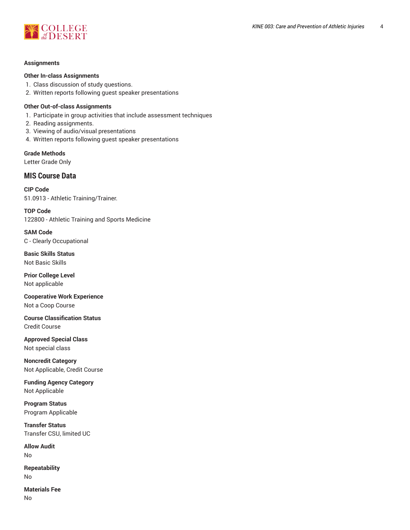

#### **Assignments**

#### **Other In-class Assignments**

- 1. Class discussion of study questions.
- 2. Written reports following guest speaker presentations

## **Other Out-of-class Assignments**

- 1. Participate in group activities that include assessment techniques
- 2. Reading assignments.
- 3. Viewing of audio/visual presentations
- 4. Written reports following guest speaker presentations

## **Grade Methods**

Letter Grade Only

**MIS Course Data**

**CIP Code** 51.0913 - Athletic Training/Trainer.

**TOP Code** 122800 - Athletic Training and Sports Medicine

**SAM Code** C - Clearly Occupational

**Basic Skills Status** Not Basic Skills

**Prior College Level** Not applicable

**Cooperative Work Experience** Not a Coop Course

**Course Classification Status** Credit Course

**Approved Special Class** Not special class

**Noncredit Category** Not Applicable, Credit Course

**Funding Agency Category** Not Applicable

**Program Status** Program Applicable

**Transfer Status** Transfer CSU, limited UC

**Allow Audit** No

**Repeatability** No

**Materials Fee** No